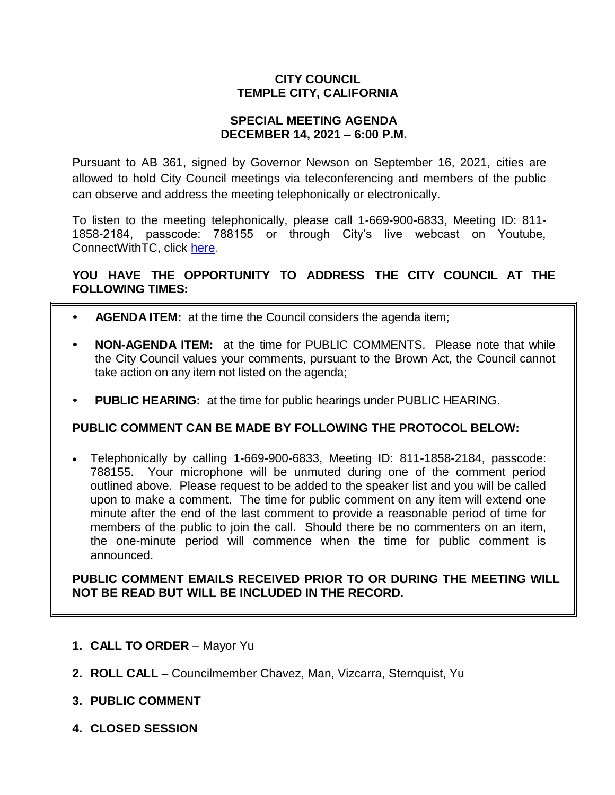### **CITY COUNCIL TEMPLE CITY, CALIFORNIA**

#### **SPECIAL MEETING AGENDA DECEMBER 14, 2021 – 6:00 P.M.**

Pursuant to AB 361, signed by Governor Newson on September 16, 2021, cities are allowed to hold City Council meetings via teleconferencing and members of the public can observe and address the meeting telephonically or electronically.

To listen to the meeting telephonically, please call 1-669-900-6833, Meeting ID: 811- 1858-2184, passcode: 788155 or through City's live webcast on Youtube, ConnectWithTC, click [here.](https://www.ci.temple-city.ca.us/516/Meeting-Webcast)

## **YOU HAVE THE OPPORTUNITY TO ADDRESS THE CITY COUNCIL AT THE FOLLOWING TIMES:**

- **AGENDA ITEM:** at the time the Council considers the agenda item;
- **NON-AGENDA ITEM:** at the time for PUBLIC COMMENTS. Please note that while the City Council values your comments, pursuant to the Brown Act, the Council cannot take action on any item not listed on the agenda;
- **PUBLIC HEARING:** at the time for public hearings under PUBLIC HEARING.

#### **PUBLIC COMMENT CAN BE MADE BY FOLLOWING THE PROTOCOL BELOW:**

 Telephonically by calling 1-669-900-6833, Meeting ID: 811-1858-2184, passcode: 788155. Your microphone will be unmuted during one of the comment period outlined above. Please request to be added to the speaker list and you will be called upon to make a comment. The time for public comment on any item will extend one minute after the end of the last comment to provide a reasonable period of time for members of the public to join the call. Should there be no commenters on an item, the one-minute period will commence when the time for public comment is announced.

**PUBLIC COMMENT EMAILS RECEIVED PRIOR TO OR DURING THE MEETING WILL NOT BE READ BUT WILL BE INCLUDED IN THE RECORD.**

- **1. CALL TO ORDER**  Mayor Yu
- **2. ROLL CALL**  Councilmember Chavez, Man, Vizcarra, Sternquist, Yu
- **3. PUBLIC COMMENT**
- **4. CLOSED SESSION**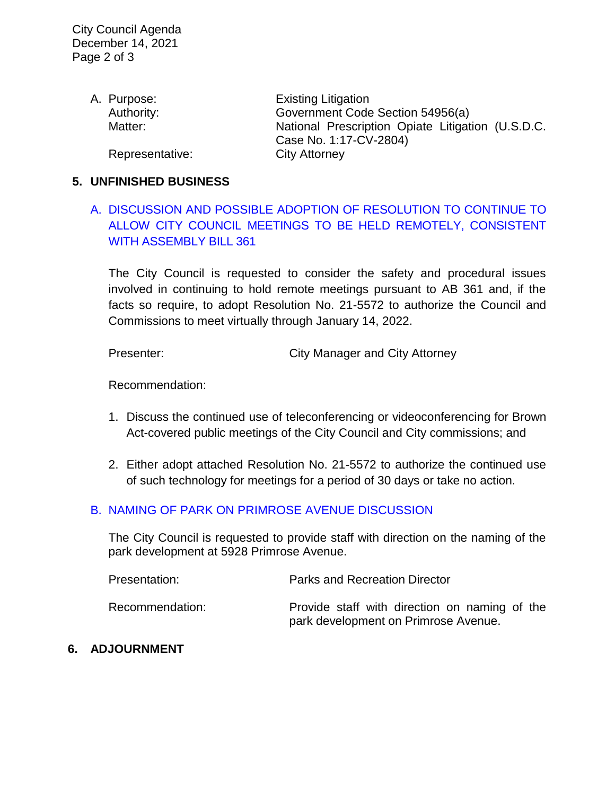| A. Purpose:     | <b>Existing Litigation</b>                        |
|-----------------|---------------------------------------------------|
| Authority:      | Government Code Section 54956(a)                  |
| Matter:         | National Prescription Opiate Litigation (U.S.D.C. |
|                 | Case No. 1:17-CV-2804)                            |
| Representative: | <b>City Attorney</b>                              |

#### **5. UNFINISHED BUSINESS**

# A. [DISCUSSION AND POSSIBLE ADOPTION OF RESOLUTION TO CONTINUE TO](https://www.ci.temple-city.ca.us/DocumentCenter/View/17097/02-5A_Remote-Meeting_Staff-Report_final-w-attachment)  [ALLOW CITY COUNCIL MEETINGS TO BE HELD REMOTELY, CONSISTENT](https://www.ci.temple-city.ca.us/DocumentCenter/View/17097/02-5A_Remote-Meeting_Staff-Report_final-w-attachment)  [WITH ASSEMBLY BILL 361](https://www.ci.temple-city.ca.us/DocumentCenter/View/17097/02-5A_Remote-Meeting_Staff-Report_final-w-attachment)

The City Council is requested to consider the safety and procedural issues involved in continuing to hold remote meetings pursuant to AB 361 and, if the facts so require, to adopt Resolution No. 21-5572 to authorize the Council and Commissions to meet virtually through January 14, 2022.

Presenter: City Manager and City Attorney

Recommendation:

- 1. Discuss the continued use of teleconferencing or videoconferencing for Brown Act-covered public meetings of the City Council and City commissions; and
- 2. Either adopt attached Resolution No. 21-5572 to authorize the continued use of such technology for meetings for a period of 30 days or take no action.

#### B. [NAMING OF PARK ON PRIMROSE AVENUE DISCUSSION](https://www.ci.temple-city.ca.us/DocumentCenter/View/17096/03-5B_Park-Naming_Staff-Report)

The City Council is requested to provide staff with direction on the naming of the park development at 5928 Primrose Avenue.

| Presentation:   | <b>Parks and Recreation Director</b>                                                  |
|-----------------|---------------------------------------------------------------------------------------|
| Recommendation: | Provide staff with direction on naming of the<br>park development on Primrose Avenue. |

#### **6. ADJOURNMENT**